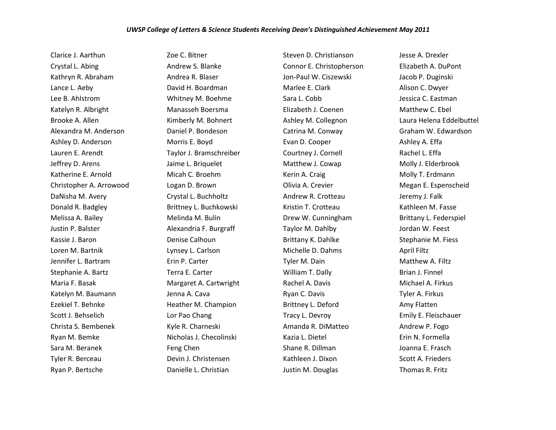Clarice J. Aarthun Crystal L. Abing Kathryn R. Abraham Lance L. Aeby Lee B. Ahlstrom Katelyn R. Albright Brooke A. Allen Alexandra M. Anderson Ashley D. Anderson Lauren E. Arendt Jeffrey D. Arens Katherine E. Arnold Christopher A. Arrowood DaNisha M. Avery Donald R. Badgley Melissa A. Bailey Justin P. Balster Kassie J. Baron Loren M. Bartnik Jennifer L. Bartram Stephanie A. Bartz Maria F. Basak Katelyn M. Baumann Ezekiel T. Behnke Scott J. Behselich Christa S. Bembenek Ryan M. Bemke Sara M. Beranek Tyler R. Berceau Ryan P. Bertsche

Zoe C. Bitner Andrew S. Blanke Andrea R. Blaser David H. Boardman Whitney M. Boehme Manasseh Boersma Kimberly M. Bohnert Daniel P. Bondeson Morris E. Boyd Taylor J. Bramschreiber Jaime L. Briquelet Micah C. Broehm Logan D. Brown Crystal L. Buchholtz Brittney L. Buchkowski Melinda M. Bulin Alexandria F. Burgraff Denise Calhoun Lynsey L. Carlson Erin P. Carter Terra E. Carter Margaret A. Cartwright Jenna A. Cava Heather M. Champion Lor Pao Chang Kyle R. Charneski Nicholas J. Checolinski Feng Chen Devin J. Christensen Danielle L. Christian

Steven D. Christianson Connor E. Christopherson Jon-Paul W. Ciszewski Marlee E. Clark Sara L. Cobb Elizabeth J. Coenen Ashley M. Collegnon Catrina M. Conway Evan D. Cooper Courtney J. Cornell Matthew J. Cowap Kerin A. Craig Olivia A. Crevier Andrew R. Crotteau Kristin T. Crotteau Drew W. Cunningham Taylor M. Dahlby Brittany K. Dahlke Michelle D. Dahms Tyler M. Dain William T. Dally Rachel A. Davis Ryan C. Davis Brittney L. Deford Tracy L. Devroy Amanda R. DiMatteo Kazia L. Dietel Shane R. Dillman Kathleen J. Dixon Justin M. Douglas

Jesse A. Drexler Elizabeth A. DuPont Jacob P. Duginski Alison C. Dwyer Jessica C. Eastman Matthew C. Ebel Laura Helena Eddelbuttel Graham W. Edwardson Ashley A. Effa Rachel L. Effa Molly J. Elderbrook Molly T. Erdmann Megan E. Espenscheid Jeremy J. Falk Kathleen M. Fasse Brittany L. Federspiel Jordan W. Feest Stephanie M. Fiess April Filtz Matthew A. Filtz Brian J. Finnel Michael A. Firkus Tyler A. Firkus Amy Flatten Emily E. Fleischauer Andrew P. Fogo Erin N. Formella Joanna E. Frasch Scott A. Frieders Thomas R. Fritz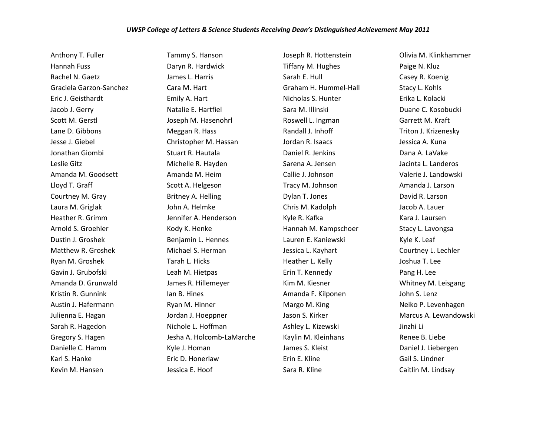## *UWSP College of Letters & Science Students Receiving Dean's Distinguished Achievement May 2011*

Anthony T. Fuller Hannah Fuss Rachel N. Gaetz Graciela Garzon-Sanchez Eric J. Geisthardt Jacob J. Gerry Scott M. Gerstl Lane D. Gibbons Jesse J. Giebel Jonathan Giombi Leslie Gitz Amanda M. Goodsett Lloyd T. Graff Courtney M. Gray Laura M. Griglak Heather R. Grimm Arnold S. Groehler Dustin J. Groshek Matthew R. Groshek Ryan M. Groshek Gavin J. Grubofski Amanda D. Grunwald Kristin R. Gunnink Austin J. Hafermann Julienna E. Hagan Sarah R. Hagedon Gregory S. Hagen Danielle C. Hamm Karl S. Hanke Kevin M. Hansen

Tammy S. Hanson Daryn R. Hardwick James L. Harris Cara M. Hart Emily A. Hart Natalie E. Hartfiel Joseph M. Hasenohrl Meggan R. Hass Christopher M. Hassan Stuart R. Hautala Michelle R. Hayden Amanda M. Heim Scott A. Helgeson Britney A. Helling John A. Helmke Jennifer A. Henderson Kody K. Henke Benjamin L. Hennes Michael S. Herman Tarah L. Hicks Leah M. Hietpas James R. Hillemeyer Ian B. Hines Ryan M. Hinner Jordan J. Hoeppner Nichole L. Hoffman Jesha A. Holcomb-LaMarche Kyle J. Homan Eric D. Honerlaw Jessica E. Hoof

Joseph R. Hottenstein Tiffany M. Hughes Sarah E. Hull Graham H. Hummel-Hall Nicholas S. Hunter Sara M. Illinski Roswell L. Ingman Randall J. Inhoff Jordan R. Isaacs Daniel R. Jenkins Sarena A. Jensen Callie J. Johnson Tracy M. Johnson Dylan T. Jones Chris M. Kadolph Kyle R. Kafka Hannah M. Kampschoer Lauren E. Kaniewski Jessica L. Kayhart Heather L. Kelly Erin T. Kennedy Kim M. Kiesner Amanda F. Kilponen Margo M. King Jason S. Kirker Ashley L. Kizewski Kaylin M. Kleinhans James S. Kleist Erin E. Kline Sara R. Kline

Olivia M. Klinkhammer Paige N. Kluz Casey R. Koenig Stacy L. Kohls Erika L. Kolacki Duane C. Kosobucki Garrett M. Kraft Triton J. Krizenesky Jessica A. Kuna Dana A. LaVake Jacinta L. Landeros Valerie J. Landowski Amanda J. Larson David R. Larson Jacob A. Lauer Kara J. Laursen Stacy L. Lavongsa Kyle K. Leaf Courtney L. Lechler Joshua T. Lee Pang H. Lee Whitney M. Leisgang John S. Lenz Neiko P. Levenhagen Marcus A. Lewandowski Jinzhi Li Renee B. Liebe Daniel J. Liebergen Gail S. Lindner Caitlin M. Lindsay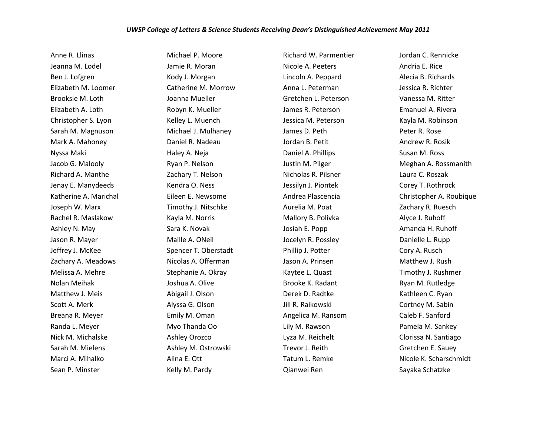## *UWSP College of Letters & Science Students Receiving Dean's Distinguished Achievement May 2011*

Anne R. Llinas Jeanna M. Lodel Ben J. Lofgren Elizabeth M. Loomer Brooksie M. Loth Elizabeth A. Loth Christopher S. Lyon Sarah M. Magnuson Mark A. Mahoney Nyssa Maki Jacob G. Malooly Richard A. Manthe Jenay E. Manydeeds Katherine A. Marichal Joseph W. Marx Rachel R. Maslakow Ashley N. May Jason R. Mayer Jeffrey J. McKee Zachary A. Meadows Melissa A. Mehre Nolan Meihak Matthew J. Meis Scott A. Merk Breana R. Meyer Randa L. Meyer Nick M. Michalske Sarah M. Mielens Marci A. Mihalko Sean P. Minster

Michael P. Moore Jamie R. Moran Kody J. Morgan Catherine M. Morrow Joanna Mueller Robyn K. Mueller Kelley L. Muench Michael J. Mulhaney Daniel R. Nadeau Haley A. Neja Ryan P. Nelson Zachary T. Nelson Kendra O. Ness Eileen E. Newsome Timothy J. Nitschke Kayla M. Norris Sara K. Novak Maille A. ONeil Spencer T. Oberstadt Nicolas A. Offerman Stephanie A. Okray Joshua A. Olive Abigail J. Olson Alyssa G. Olson Emily M. Oman Myo Thanda Oo Ashley Orozco Ashley M. Ostrowski Alina E. Ott Kelly M. Pardy

Richard W. Parmentier Nicole A. Peeters Lincoln A. Peppard Anna L. Peterman Gretchen L. Peterson James R. Peterson Jessica M. Peterson James D. Peth Jordan B. Petit Daniel A. Phillips Justin M. Pilger Nicholas R. Pilsner Jessilyn J. Piontek Andrea Plascencia Aurelia M. Poat Mallory B. Polivka Josiah E. Popp Jocelyn R. Possley Phillip J. Potter Jason A. Prinsen Kaytee L. Quast Brooke K. Radant Derek D. Radtke Jill R. Raikowski Angelica M. Ransom Lily M. Rawson Lyza M. Reichelt Trevor J. Reith Tatum L. Remke Qianwei Ren

Jordan C. Rennicke Andria E. Rice Alecia B. Richards Jessica R. Richter Vanessa M. Ritter Emanuel A. Rivera Kayla M. Robinson Peter R. Rose Andrew R. Rosik Susan M. Ross Meghan A. Rossmanith Laura C. Roszak Corey T. Rothrock Christopher A. Roubique Zachary R. Ruesch Alyce J. Ruhoff Amanda H. Ruhoff Danielle L. Rupp Cory A. Rusch Matthew J. Rush Timothy J. Rushmer Ryan M. Rutledge Kathleen C. Ryan Cortney M. Sabin Caleb F. Sanford Pamela M. Sankey Clorissa N. Santiago Gretchen E. Sauey Nicole K. Scharschmidt Sayaka Schatzke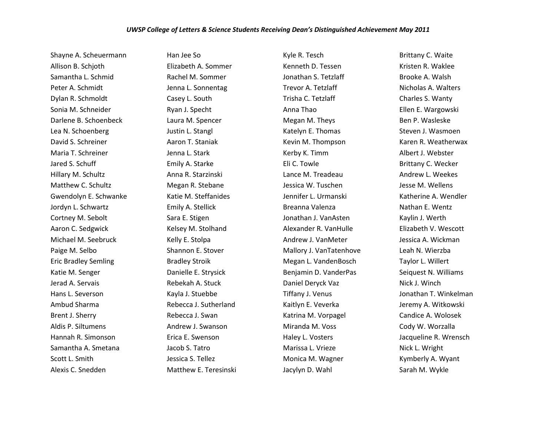Shayne A. Scheuermann Allison B. Schjoth Samantha L. Schmid Peter A. Schmidt Dylan R. Schmoldt Sonia M. Schneider Darlene B. Schoenbeck Lea N. Schoenberg David S. Schreiner Maria T. Schreiner Jared S. Schuff Hillary M. Schultz Matthew C. Schultz Gwendolyn E. Schwanke Jordyn L. Schwartz Cortney M. Sebolt Aaron C. Sedgwick Michael M. Seebruck Paige M. Selbo Eric Bradley Semling Katie M. Senger Jerad A. Servais Hans L. Severson Ambud Sharma Brent J. Sherry Aldis P. Siltumens Hannah R. Simonson Samantha A. Smetana Scott L. Smith Alexis C. Snedden

Han Jee So Elizabeth A. Sommer Rachel M. Sommer Jenna L. Sonnentag Casey L. South Ryan J. Specht Laura M. Spencer Justin L. Stangl Aaron T. Staniak Jenna L. Stark Emily A. Starke Anna R. Starzinski Megan R. Stebane Katie M. Steffanides Emily A. Stellick Sara E. Stigen Kelsey M. Stolhand Kelly E. Stolpa Shannon E. Stover Bradley Stroik Danielle E. Strysick Rebekah A. Stuck Kayla J. Stuebbe Rebecca J. Sutherland Rebecca J. Swan Andrew J. Swanson Erica E. Swenson Jacob S. Tatro Jessica S. Tellez Matthew E. Teresinski Kyle R. Tesch Kenneth D. Tessen Jonathan S. Tetzlaff Trevor A. Tetzlaff Trisha C. Tetzlaff Anna Thao Megan M. Theys Katelyn E. Thomas Kevin M. Thompson Kerby K. Timm Eli C. Towle Lance M. Treadeau Jessica W. Tuschen Jennifer L. Urmanski Breanna Valenza Jonathan J. VanAsten Alexander R. VanHulle Andrew J. VanMeter Mallory J. VanTatenhove Megan L. VandenBosch Benjamin D. VanderPas Daniel Deryck Vaz Tiffany J. Venus Kaitlyn E. Veverka Katrina M. Vorpagel Miranda M. Voss Haley L. Vosters Marissa L. Vrieze Monica M. Wagner Jacylyn D. Wahl

Brittany C. Waite Kristen R. Waklee Brooke A. Walsh Nicholas A. Walters Charles S. Wanty Ellen E. Wargowski Ben P. Wasleske Steven J. Wasmoen Karen R. Weatherwax Albert J. Webster Brittany C. Wecker Andrew L. Weekes Jesse M. Wellens Katherine A. Wendler Nathan E. Wentz Kaylin J. Werth Elizabeth V. Wescott Jessica A. Wickman Leah N. Wierzba Taylor L. Willert Seiquest N. Williams Nick J. Winch Jonathan T. Winkelman Jeremy A. Witkowski Candice A. Wolosek Cody W. Worzalla Jacqueline R. Wrensch Nick L. Wright Kymberly A. Wyant Sarah M. Wykle